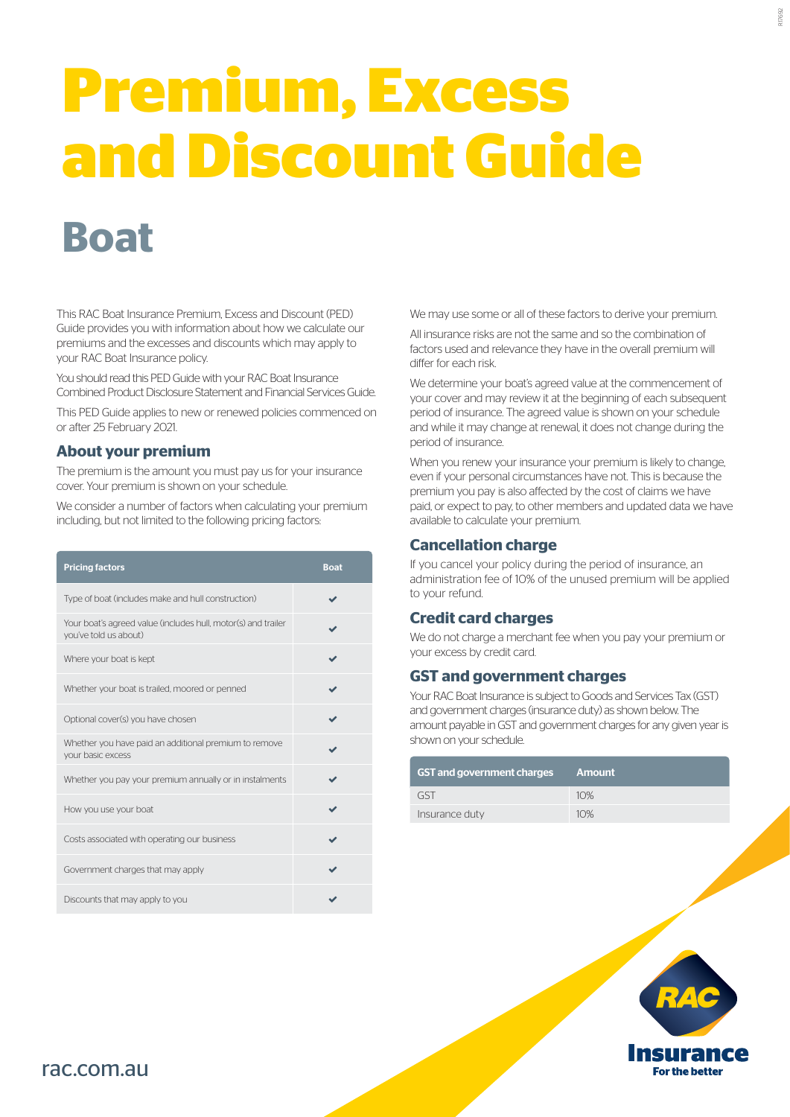# **Premium, Excess and Discount Guide**

# **Boat**

This RAC Boat Insurance Premium, Excess and Discount (PED) Guide provides you with information about how we calculate our premiums and the excesses and discounts which may apply to your RAC Boat Insurance policy.

You should read this PED Guide with your RAC Boat Insurance Combined Product Disclosure Statement and Financial Services Guide.

This PED Guide applies to new or renewed policies commenced on or after 25 February 2021.

# **About your premium**

The premium is the amount you must pay us for your insurance cover. Your premium is shown on your schedule.

We consider a number of factors when calculating your premium including, but not limited to the following pricing factors:

| <b>Pricing factors</b>                                                                 | <b>Boat</b> |
|----------------------------------------------------------------------------------------|-------------|
| Type of boat (includes make and hull construction)                                     |             |
| Your boat's agreed value (includes hull, motor(s) and trailer<br>you've told us about) |             |
| Where your boat is kept                                                                |             |
| Whether your boat is trailed, moored or penned                                         |             |
| Optional cover(s) you have chosen                                                      |             |
| Whether you have paid an additional premium to remove<br>vour basic excess             |             |
| Whether you pay your premium annually or in instalments                                |             |
| How you use your boat                                                                  |             |
| Costs associated with operating our business                                           |             |
| Government charges that may apply                                                      |             |
| Discounts that may apply to you                                                        |             |

We may use some or all of these factors to derive your premium.

All insurance risks are not the same and so the combination of factors used and relevance they have in the overall premium will differ for each risk.

We determine your boat's agreed value at the commencement of your cover and may review it at the beginning of each subsequent period of insurance. The agreed value is shown on your schedule and while it may change at renewal, it does not change during the period of insurance.

When you renew your insurance your premium is likely to change, even if your personal circumstances have not. This is because the premium you pay is also affected by the cost of claims we have paid, or expect to pay, to other members and updated data we have available to calculate your premium.

# **Cancellation charge**

If you cancel your policy during the period of insurance, an administration fee of 10% of the unused premium will be applied to your refund.

# **Credit card charges**

We do not charge a merchant fee when you pay your premium or your excess by credit card.

# **GST and government charges**

Your RAC Boat Insurance is subject to Goods and Services Tax (GST) and government charges (insurance duty) as shown below. The amount payable in GST and government charges for any given year is shown on your schedule.

| GST and government charges ' | Amount |
|------------------------------|--------|
| GST                          | 10%    |
| Insurance duty               | 10%    |